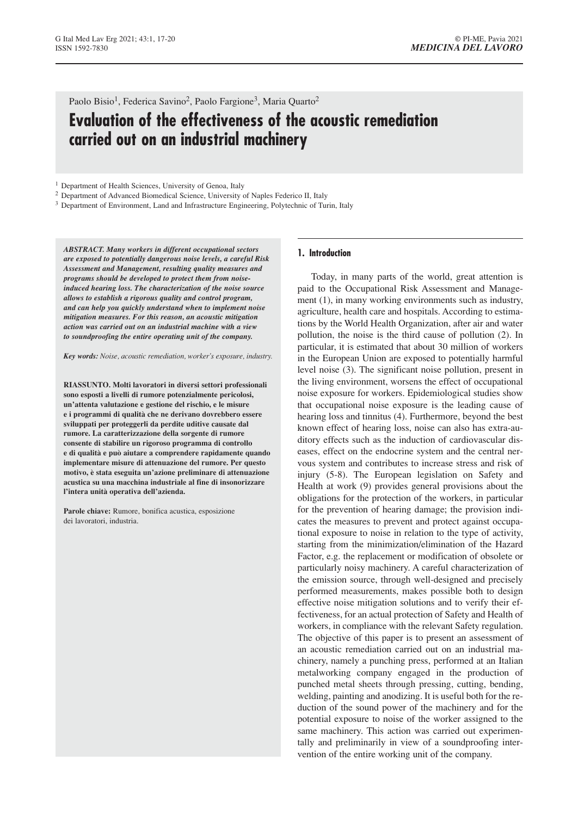Paolo Bisio<sup>1</sup>, Federica Savino<sup>2</sup>, Paolo Fargione<sup>3</sup>, Maria Quarto<sup>2</sup>

# **Evaluation of the effectiveness of the acoustic remediation carried out on an industrial machinery**

<sup>1</sup> Department of Health Sciences, University of Genoa, Italy

<sup>2</sup> Department of Advanced Biomedical Science, University of Naples Federico II, Italy

<sup>3</sup> Department of Environment, Land and Infrastructure Engineering, Polytechnic of Turin, Italy

*ABSTRACT. Many workers in different occupational sectors are exposed to potentially dangerous noise levels, a careful Risk Assessment and Management, resulting quality measures and programs should be developed to protect them from noiseinduced hearing loss. The characterization of the noise source allows to establish a rigorous quality and control program, and can help you quickly understand when to implement noise mitigation measures. For this reason, an acoustic mitigation action was carried out on an industrial machine with a view to soundproofing the entire operating unit of the company.*

*Key words: Noise, acoustic remediation, worker's exposure, industry.*

**RIASSUNTO. Molti lavoratori in diversi settori professionali sono esposti a livelli di rumore potenzialmente pericolosi, un'attenta valutazione e gestione del rischio, e le misure e i programmi di qualità che ne derivano dovrebbero essere sviluppati per proteggerli da perdite uditive causate dal rumore. La caratterizzazione della sorgente di rumore consente di stabilire un rigoroso programma di controllo e di qualità e può aiutare a comprendere rapidamente quando implementare misure di attenuazione del rumore. Per questo motivo, è stata eseguita un'azione preliminare di attenuazione acustica su una macchina industriale al fine di insonorizzare l'intera unità operativa dell'azienda.**

**Parole chiave:** Rumore, bonifica acustica, esposizione dei lavoratori, industria.

# **1. Introduction**

Today, in many parts of the world, great attention is paid to the Occupational Risk Assessment and Management (1), in many working environments such as industry, agriculture, health care and hospitals. According to estimations by the World Health Organization, after air and water pollution, the noise is the third cause of pollution (2). In particular, it is estimated that about 30 million of workers in the European Union are exposed to potentially harmful level noise (3). The significant noise pollution, present in the living environment, worsens the effect of occupational noise exposure for workers. Epidemiological studies show that occupational noise exposure is the leading cause of hearing loss and tinnitus (4). Furthermore, beyond the best known effect of hearing loss, noise can also has extra-auditory effects such as the induction of cardiovascular diseases, effect on the endocrine system and the central nervous system and contributes to increase stress and risk of injury (5-8). The European legislation on Safety and Health at work (9) provides general provisions about the obligations for the protection of the workers, in particular for the prevention of hearing damage; the provision indicates the measures to prevent and protect against occupational exposure to noise in relation to the type of activity, starting from the minimization/elimination of the Hazard Factor, e.g. the replacement or modification of obsolete or particularly noisy machinery. A careful characterization of the emission source, through well-designed and precisely performed measurements, makes possible both to design effective noise mitigation solutions and to verify their effectiveness, for an actual protection of Safety and Health of workers, in compliance with the relevant Safety regulation. The objective of this paper is to present an assessment of an acoustic remediation carried out on an industrial machinery, namely a punching press, performed at an Italian metalworking company engaged in the production of punched metal sheets through pressing, cutting, bending, welding, painting and anodizing. It is useful both for the reduction of the sound power of the machinery and for the potential exposure to noise of the worker assigned to the same machinery. This action was carried out experimentally and preliminarily in view of a soundproofing intervention of the entire working unit of the company.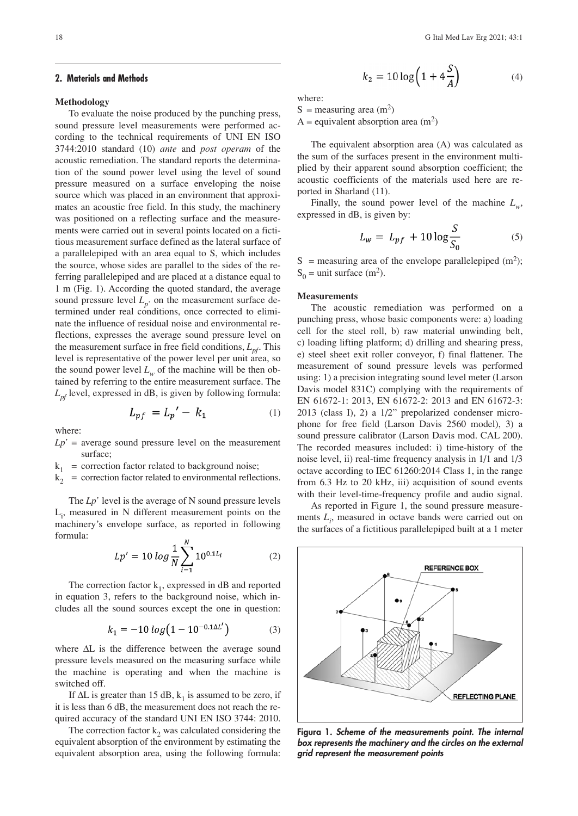# **2. Materials and Methods**

#### **Methodology**

To evaluate the noise produced by the punching press, sound pressure level measurements were performed according to the technical requirements of UNI EN ISO 3744:2010 standard (10) *ante* and *post operam* of the acoustic remediation. The standard reports the determination of the sound power level using the level of sound pressure measured on a surface enveloping the noise source which was placed in an environment that approximates an acoustic free field. In this study, the machinery was positioned on a reflecting surface and the measurements were carried out in several points located on a fictitious measurement surface defined as the lateral surface of a parallelepiped with an area equal to S, which includes the source, whose sides are parallel to the sides of the referring parallelepiped and are placed at a distance equal to 1 m (Fig. 1). According the quoted standard, the average sound pressure level  $L_{p'}$  on the measurement surface determined under real conditions, once corrected to eliminate the influence of residual noise and environmental reflections, expresses the average sound pressure level on the measurement surface in free field conditions,  $L_{pf}$ . This level is representative of the power level per unit area, so the sound power level  $L_w$  of the machine will be then obtained by referring to the entire measurement surface. The  $L_{pf}$  level, expressed in dB, is given by following formula:

$$
L_{pf} = L_p' - k_1 \tag{1}
$$

where:

- $Lp'$  = average sound pressure level on the measurement surface;
- $k_1$  = correction factor related to background noise;

 $k<sub>2</sub>$  = correction factor related to environmental reflections.

The *Lp'* level is the average of N sound pressure levels L<sub>i</sub>, measured in N different measurement points on the machinery's envelope surface, as reported in following formula:

$$
Lp' = 10 \log \frac{1}{N} \sum_{i=1}^{N} 10^{0.1L_i}
$$
 (2)

The correction factor  $k_1$ , expressed in dB and reported in equation 3, refers to the background noise, which includes all the sound sources except the one in question:

$$
k_1 = -10 \log(1 - 10^{-0.1 \Delta L'}) \tag{3}
$$

where  $\Delta L$  is the difference between the average sound pressure levels measured on the measuring surface while the machine is operating and when the machine is switched off.

If  $\Delta L$  is greater than 15 dB,  $k_1$  is assumed to be zero, if it is less than 6 dB, the measurement does not reach the required accuracy of the standard UNI EN ISO 3744: 2010.

The correction factor  $k<sub>2</sub>$  was calculated considering the equivalent absorption of the environment by estimating the equivalent absorption area, using the following formula:

$$
k_2 = 10 \log \left( 1 + 4 \frac{S}{A} \right) \tag{4}
$$

where:

 $S =$  measuring area  $(m<sup>2</sup>)$ 

A = equivalent absorption area  $(m^2)$ 

The equivalent absorption area (A) was calculated as the sum of the surfaces present in the environment multiplied by their apparent sound absorption coefficient; the acoustic coefficients of the materials used here are reported in Sharland (11).

Finally, the sound power level of the machine  $L_w$ , expressed in dB, is given by:

$$
L_w = L_{pf} + 10 \log \frac{S}{S_0}
$$
 (5)

S = measuring area of the envelope parallelepiped  $(m^2)$ ;  $S_0$  = unit surface (m<sup>2</sup>).

# **Measurements**

The acoustic remediation was performed on a punching press, whose basic components were: a) loading cell for the steel roll, b) raw material unwinding belt, c) loading lifting platform; d) drilling and shearing press, e) steel sheet exit roller conveyor, f) final flattener. The measurement of sound pressure levels was performed using: 1) a precision integrating sound level meter (Larson Davis model 831C) complying with the requirements of EN 61672-1: 2013, EN 61672-2: 2013 and EN 61672-3: 2013 (class I), 2) a 1/2" prepolarized condenser microphone for free field (Larson Davis 2560 model), 3) a sound pressure calibrator (Larson Davis mod. CAL 200). The recorded measures included: i) time-history of the noise level, ii) real-time frequency analysis in 1/1 and 1/3 octave according to IEC 61260:2014 Class 1, in the range from 6.3 Hz to 20 kHz, iii) acquisition of sound events with their level-time-frequency profile and audio signal.

As reported in Figure 1, the sound pressure measurements  $L_i$ , measured in octave bands were carried out on the surfaces of a fictitious parallelepiped built at a 1 meter



**Figura 1.** *Scheme of the measurements point. The internal box represents the machinery and the circles on the external grid represent the measurement points*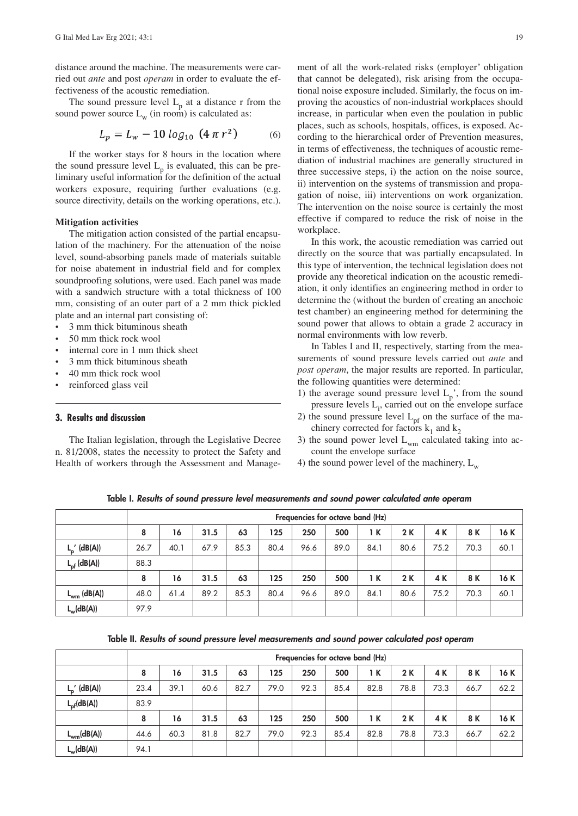distance around the machine. The measurements were carried out *ante* and post *operam* in order to evaluate the effectiveness of the acoustic remediation.

The sound pressure level  $L_p$  at a distance r from the sound power source  $L_w$  (in room) is calculated as:

$$
L_p = L_w - 10 \log_{10} (4 \pi r^2) \tag{6}
$$

If the worker stays for 8 hours in the location where the sound pressure level  $L_p$  is evaluated, this can be preliminary useful information for the definition of the actual workers exposure, requiring further evaluations (e.g. source directivity, details on the working operations, etc.).

#### **Mitigation activities**

The mitigation action consisted of the partial encapsulation of the machinery. For the attenuation of the noise level, sound-absorbing panels made of materials suitable for noise abatement in industrial field and for complex soundproofing solutions, were used. Each panel was made with a sandwich structure with a total thickness of 100 mm, consisting of an outer part of a 2 mm thick pickled plate and an internal part consisting of:

- 3 mm thick bituminous sheath
- 50 mm thick rock wool
- internal core in 1 mm thick sheet
- 3 mm thick bituminous sheath
- 40 mm thick rock wool
- reinforced glass veil

# **3. Results and discussion**

The Italian legislation, through the Legislative Decree n. 81/2008, states the necessity to protect the Safety and Health of workers through the Assessment and Management of all the work-related risks (employer' obligation that cannot be delegated), risk arising from the occupational noise exposure included. Similarly, the focus on improving the acoustics of non-industrial workplaces should increase, in particular when even the poulation in public places, such as schools, hospitals, offices, is exposed. According to the hierarchical order of Prevention measures, in terms of effectiveness, the techniques of acoustic remediation of industrial machines are generally structured in three successive steps, i) the action on the noise source, ii) intervention on the systems of transmission and propagation of noise, iii) interventions on work organization. The intervention on the noise source is certainly the most effective if compared to reduce the risk of noise in the workplace.

In this work, the acoustic remediation was carried out directly on the source that was partially encapsulated. In this type of intervention, the technical legislation does not provide any theoretical indication on the acoustic remediation, it only identifies an engineering method in order to determine the (without the burden of creating an anechoic test chamber) an engineering method for determining the sound power that allows to obtain a grade 2 accuracy in normal environments with low reverb.

In Tables I and II, respectively, starting from the measurements of sound pressure levels carried out *ante* and *post operam*, the major results are reported. In particular, the following quantities were determined:

- 1) the average sound pressure level  $L_p$ , from the sound pressure levels L<sub>i</sub>, carried out on the envelope surface
- 2) the sound pressure level  $L_{pf}$  on the surface of the machinery corrected for factors  $k_1$  and  $k_2$
- 3) the sound power level  $L_{wm}$  calculated taking into account the envelope surface
- 4) the sound power level of the machinery,  $L_w$

**Table I.** *Results of sound pressure level measurements and sound power calculated ante operam*

|                      | Frequencies for octave band (Hz) |      |      |      |      |      |      |      |      |      |      |      |
|----------------------|----------------------------------|------|------|------|------|------|------|------|------|------|------|------|
|                      | 8                                | 16   | 31.5 | 63   | 125  | 250  | 500  | 1 K  | 2 K  | 4 K  | 8 K  | 16 K |
| $L_{p}$ ' (dB(A))    | 26.7                             | 40.1 | 67.9 | 85.3 | 80.4 | 96.6 | 89.0 | 84.1 | 80.6 | 75.2 | 70.3 | 60.1 |
| $L_{\rm pf}$ (dB(A)) | 88.3                             |      |      |      |      |      |      |      |      |      |      |      |
|                      | 8                                | 16   | 31.5 | 63   | 125  | 250  | 500  | 1 K  | 2 K  | 4 K  | 8 K  | 16 K |
| $L_{wm}$ (dB(A))     | 48.0                             | 61.4 | 89.2 | 85.3 | 80.4 | 96.6 | 89.0 | 84.1 | 80.6 | 75.2 | 70.3 | 60.1 |
| $L_w(dB(A))$         | 97.9                             |      |      |      |      |      |      |      |      |      |      |      |

**Table II.** *Results of sound pressure level measurements and sound power calculated post operam*

|                     | Frequencies for octave band (Hz) |      |      |      |      |      |      |      |      |      |      |      |
|---------------------|----------------------------------|------|------|------|------|------|------|------|------|------|------|------|
|                     | 8                                | 16   | 31.5 | 63   | 125  | 250  | 500  | 1 K  | 2 K  | 4 K  | 8 K  | 16 K |
| $L_{p}$ ' (dB(A))   | 23.4                             | 39.1 | 60.6 | 82.7 | 79.0 | 92.3 | 85.4 | 82.8 | 78.8 | 73.3 | 66.7 | 62.2 |
| $L_{\rm pf}(dB(A))$ | 83.9                             |      |      |      |      |      |      |      |      |      |      |      |
|                     | 8                                | 16   | 31.5 | 63   | 125  | 250  | 500  | 1 K  | 2 K  | 4 K  | 8 K  | 16 K |
| $L_{wm}(dB(A))$     | 44.6                             | 60.3 | 81.8 | 82.7 | 79.0 | 92.3 | 85.4 | 82.8 | 78.8 | 73.3 | 66.7 | 62.2 |
| $L_w(dB(A))$        | 94.1                             |      |      |      |      |      |      |      |      |      |      |      |